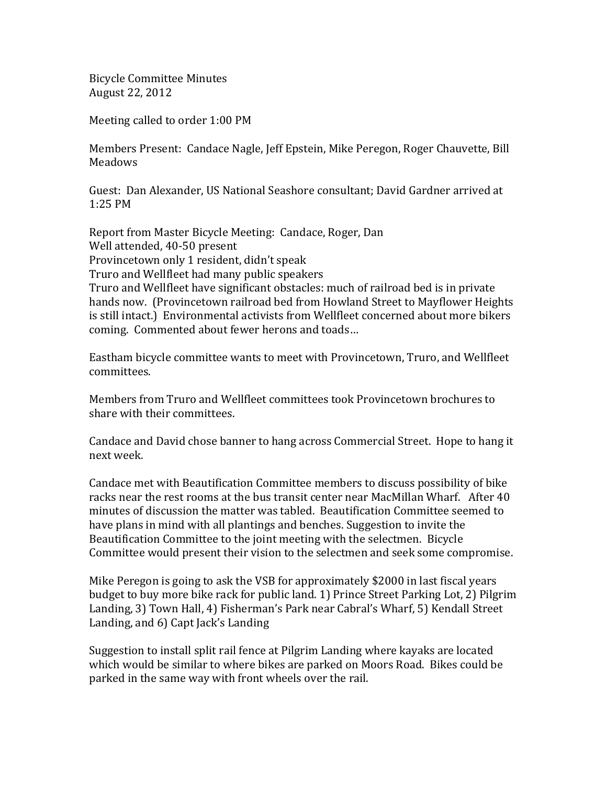Bicycle Committee Minutes August 22, 2012

Meeting called to order 1:00 PM

Members Present: Candace Nagle, Jeff Epstein, Mike Peregon, Roger Chauvette, Bill Meadows

Guest: Dan Alexander, US National Seashore consultant; David Gardner arrived at 1:25 PM

Report from Master Bicycle Meeting: Candace, Roger, Dan Well attended, 40‐50 present Provincetown only 1 resident, didn't speak Truro and Wellfleet had many public speakers Truro and Wellfleet have significant obstacles: much of railroad bed is in private hands now. (Provincetown railroad bed from Howland Street to Mayflower Heights is still intact.) Environmental activists from Wellfleet concerned about more bikers coming. Commented about fewer herons and toads…

Eastham bicycle committee wants to meet with Provincetown, Truro, and Wellfleet committees.

Members from Truro and Wellfleet committees took Provincetown brochures to share with their committees.

Candace and David chose banner to hang across Commercial Street. Hope to hang it next week.

Candace met with Beautification Committee members to discuss possibility of bike racks near the rest rooms at the bus transit center near MacMillan Wharf. After 40 minutes of discussion the matter was tabled. Beautification Committee seemed to have plans in mind with all plantings and benches. Suggestion to invite the Beautification Committee to the joint meeting with the selectmen. Bicycle Committee would present their vision to the selectmen and seek some compromise.

Mike Peregon is going to ask the VSB for approximately \$2000 in last fiscal years budget to buy more bike rack for public land. 1) Prince Street Parking Lot, 2) Pilgrim Landing, 3) Town Hall, 4) Fisherman's Park near Cabral's Wharf, 5) Kendall Street Landing, and 6) Capt Jack's Landing

Suggestion to install split rail fence at Pilgrim Landing where kayaks are located which would be similar to where bikes are parked on Moors Road. Bikes could be parked in the same way with front wheels over the rail.